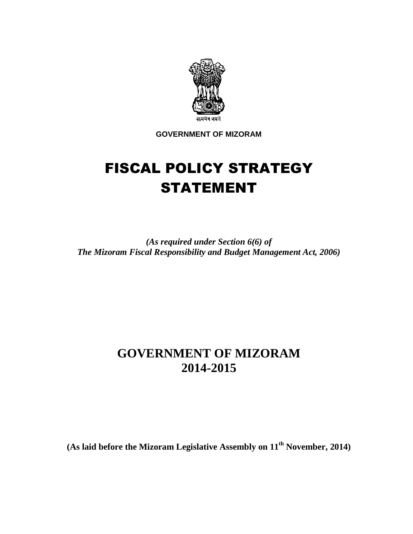

**GOVERNMENT OF MIZORAM** 

# FISCAL POLICY STRATEGY STATEMENT

*(As required under Section 6(6) of The Mizoram Fiscal Responsibility and Budget Management Act, 2006)* 

# **GOVERNMENT OF MIZORAM 2014-2015**

**(As laid before the Mizoram Legislative Assembly on 11th November, 2014)**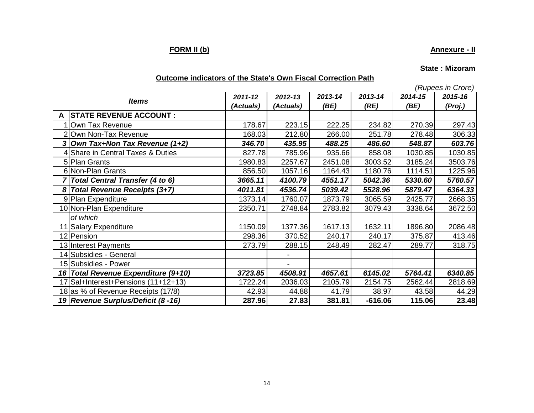### **FORM II (b)**

### **Annexure - II**

**State : Mizoram**

### **Outcome indicators of the State's Own Fiscal Correction Path**

(Rupees in Crore)

| <b>Items</b> |                                        | 2011-12 | 2012-13   | 2013-14 | 2013-14   | 2014-15 | 2015-16 |
|--------------|----------------------------------------|---------|-----------|---------|-----------|---------|---------|
|              |                                        |         | (Actuals) | (BE)    | (RE)      | (BE)    | (Proj.) |
|              | <b>STATE REVENUE ACCOUNT:</b>          |         |           |         |           |         |         |
|              | Own Tax Revenue                        | 178.67  | 223.15    | 222.25  | 234.82    | 270.39  | 297.43  |
|              | Own Non-Tax Revenue                    | 168.03  | 212.80    | 266.00  | 251.78    | 278.48  | 306.33  |
|              | 3 Own Tax+Non Tax Revenue (1+2)        | 346.70  | 435.95    | 488.25  | 486.60    | 548.87  | 603.76  |
|              | Share in Central Taxes & Duties        | 827.78  | 785.96    | 935.66  | 858.08    | 1030.85 | 1030.85 |
|              | 5 Plan Grants                          | 1980.83 | 2257.67   | 2451.08 | 3003.52   | 3185.24 | 3503.76 |
|              | 6 Non-Plan Grants                      | 856.50  | 1057.16   | 1164.43 | 1180.76   | 1114.51 | 1225.96 |
|              | <b>Total Central Transfer (4 to 6)</b> | 3665.11 | 4100.79   | 4551.17 | 5042.36   | 5330.60 | 5760.57 |
|              | Total Revenue Receipts (3+7)           | 4011.81 | 4536.74   | 5039.42 | 5528.96   | 5879.47 | 6364.33 |
|              | 9 Plan Expenditure                     | 1373.14 | 1760.07   | 1873.79 | 3065.59   | 2425.77 | 2668.35 |
|              | 10 Non-Plan Expenditure                | 2350.71 | 2748.84   | 2783.82 | 3079.43   | 3338.64 | 3672.50 |
|              | of which                               |         |           |         |           |         |         |
|              | 11 Salary Expenditure                  | 1150.09 | 1377.36   | 1617.13 | 1632.11   | 1896.80 | 2086.48 |
|              | 12 Pension                             | 298.36  | 370.52    | 240.17  | 240.17    | 375.87  | 413.46  |
|              | 13 Interest Payments                   | 273.79  | 288.15    | 248.49  | 282.47    | 289.77  | 318.75  |
|              | 14 Subsidies - General                 |         |           |         |           |         |         |
|              | 15 Subsidies - Power                   |         | -         |         |           |         |         |
|              | 16 Total Revenue Expenditure (9+10)    | 3723.85 | 4508.91   | 4657.61 | 6145.02   | 5764.41 | 6340.85 |
|              | 17 Sal+Interest+Pensions (11+12+13)    | 1722.24 | 2036.03   | 2105.79 | 2154.75   | 2562.44 | 2818.69 |
|              | 18 as % of Revenue Receipts (17/8)     | 42.93   | 44.88     | 41.79   | 38.97     | 43.58   | 44.29   |
|              | 19 Revenue Surplus/Deficit (8 -16)     | 287.96  | 27.83     | 381.81  | $-616.06$ | 115.06  | 23.48   |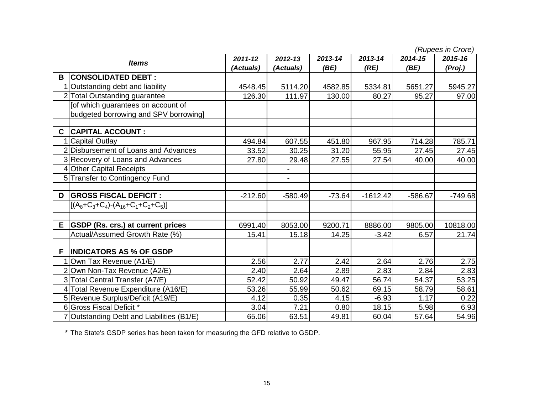(Rupees in Crore)

| <b>Items</b> |                                           | $2011 - 12$ | 2012-13                  | 2013-14  | 2013-14    | 2014-15   | 1.88899991191919<br>2015-16 |
|--------------|-------------------------------------------|-------------|--------------------------|----------|------------|-----------|-----------------------------|
|              |                                           | (Actuals)   | (Actuals)                | (BE)     | (RE)       | (BE)      | (Proj.)                     |
| B            | <b>CONSOLIDATED DEBT:</b>                 |             |                          |          |            |           |                             |
|              | 1 Outstanding debt and liability          | 4548.45     | 5114.20                  | 4582.85  | 5334.81    | 5651.27   | 5945.27                     |
|              | 2 Total Outstanding guarantee             | 126.30      | 111.97                   | 130.00   | 80.27      | 95.27     | 97.00                       |
|              | [of which guarantees on account of        |             |                          |          |            |           |                             |
|              | budgeted borrowing and SPV borrowing]     |             |                          |          |            |           |                             |
| C.           | <b>CAPITAL ACCOUNT:</b>                   |             |                          |          |            |           |                             |
|              | <b>Capital Outlay</b>                     | 494.84      | 607.55                   | 451.80   | 967.95     | 714.28    | 785.71                      |
|              | 2 Disbursement of Loans and Advances      | 33.52       | 30.25                    | 31.20    | 55.95      | 27.45     | 27.45                       |
|              | 3 Recovery of Loans and Advances          | 27.80       | 29.48                    | 27.55    | 27.54      | 40.00     | 40.00                       |
|              | 4 Other Capital Receipts                  |             |                          |          |            |           |                             |
|              | 5 Transfer to Contingency Fund            |             | $\overline{\phantom{0}}$ |          |            |           |                             |
| D            | <b>GROSS FISCAL DEFICIT :</b>             | $-212.60$   | $-580.49$                | $-73.64$ | $-1612.42$ | $-586.67$ | $-749.68$                   |
|              | $[(A_8+C_3+C_4)-(A_{16}+C_1+C_2+C_5)]$    |             |                          |          |            |           |                             |
| Е            | <b>GSDP (Rs. crs.) at current prices</b>  | 6991.40     | 8053.00                  | 9200.71  | 8886.00    | 9805.00   | 10818.00                    |
|              | Actual/Assumed Growth Rate (%)            | 15.41       | 15.18                    | 14.25    | $-3.42$    | 6.57      | 21.74                       |
| F            | <b>INDICATORS AS % OF GSDP</b>            |             |                          |          |            |           |                             |
|              | Own Tax Revenue (A1/E)                    | 2.56        | 2.77                     | 2.42     | 2.64       | 2.76      | 2.75                        |
|              | 2 Own Non-Tax Revenue (A2/E)              | 2.40        | 2.64                     | 2.89     | 2.83       | 2.84      | 2.83                        |
|              | 3 Total Central Transfer (A7/E)           | 52.42       | 50.92                    | 49.47    | 56.74      | 54.37     | 53.25                       |
|              | 4 Total Revenue Expenditure (A16/E)       | 53.26       | 55.99                    | 50.62    | 69.15      | 58.79     | 58.61                       |
|              | 5 Revenue Surplus/Deficit (A19/E)         | 4.12        | 0.35                     | 4.15     | $-6.93$    | 1.17      | 0.22                        |
|              | 6 Gross Fiscal Deficit *                  | 3.04        | 7.21                     | 0.80     | 18.15      | 5.98      | 6.93                        |
|              | 7 Outstanding Debt and Liabilities (B1/E) | 65.06       | 63.51                    | 49.81    | 60.04      | 57.64     | 54.96                       |

\* The State's GSDP series has been taken for measuring the GFD relative to GSDP.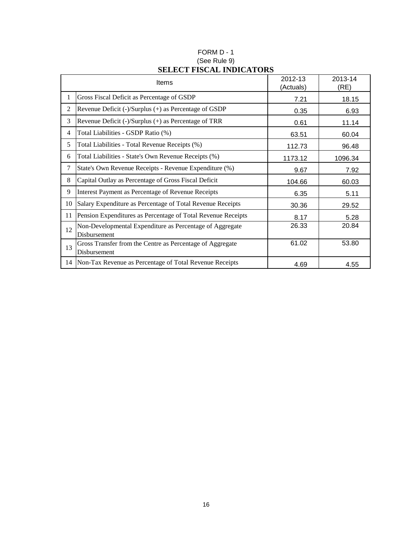|                | Items                                                                     | 2012-13<br>(Actuals) | 2013-14<br>(RE) |
|----------------|---------------------------------------------------------------------------|----------------------|-----------------|
| 1              | Gross Fiscal Deficit as Percentage of GSDP                                | 7.21                 | 18.15           |
| $\overline{2}$ | Revenue Deficit (-)/Surplus (+) as Percentage of GSDP                     | 0.35                 | 6.93            |
| 3              | Revenue Deficit $(\text{-})$ /Surplus $(\text{+})$ as Percentage of TRR   | 0.61                 | 11.14           |
| 4              | Total Liabilities - GSDP Ratio (%)                                        | 63.51                | 60.04           |
| 5              | Total Liabilities - Total Revenue Receipts (%)                            | 112.73               | 96.48           |
| 6              | Total Liabilities - State's Own Revenue Receipts (%)                      | 1173.12              | 1096.34         |
| $\tau$         | State's Own Revenue Receipts - Revenue Expenditure (%)                    | 9.67                 | 7.92            |
| 8              | Capital Outlay as Percentage of Gross Fiscal Deficit                      | 104.66               | 60.03           |
| 9              | Interest Payment as Percentage of Revenue Receipts                        | 6.35                 | 5.11            |
| 10             | Salary Expenditure as Percentage of Total Revenue Receipts                | 30.36                | 29.52           |
| 11             | Pension Expenditures as Percentage of Total Revenue Receipts              | 8.17                 | 5.28            |
| 12             | Non-Developmental Expenditure as Percentage of Aggregate<br>Disbursement  | 26.33                | 20.84           |
| 13             | Gross Transfer from the Centre as Percentage of Aggregate<br>Disbursement | 61.02                | 53.80           |
|                | 14 Non-Tax Revenue as Percentage of Total Revenue Receipts                | 4.69                 | 4.55            |

### FORM D - 1 (See Rule 9) **SELECT FISCAL INDICATORS**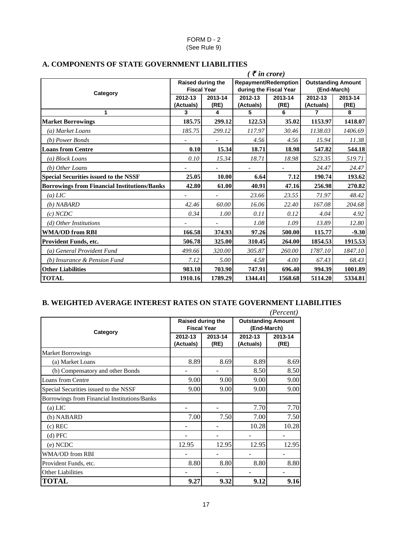#### FORM D - 2 (See Rule 9)

|                                                     |                          |         | $($ ₹ in crore)             |         |                           |         |
|-----------------------------------------------------|--------------------------|---------|-----------------------------|---------|---------------------------|---------|
|                                                     | Raised during the        |         | <b>Repayment/Redemption</b> |         | <b>Outstanding Amount</b> |         |
| Category                                            | <b>Fiscal Year</b>       |         | during the Fiscal Year      |         | (End-March)               |         |
|                                                     | 2012-13                  | 2013-14 | 2012-13                     | 2013-14 | 2012-13                   | 2013-14 |
|                                                     | (Actuals)                | (RE)    | (Actuals)                   | (RE)    | (Actuals)                 | (RE)    |
| 1                                                   | 3                        | 4       | 5                           | 6       | 7                         | 8       |
| <b>Market Borrowings</b>                            | 185.75                   | 299.12  | 122.53                      | 35.02   | 1153.97                   | 1418.07 |
| (a) Market Loans                                    | 185.75                   | 299.12  | 117.97                      | 30.46   | 1138.03                   | 1406.69 |
| (b) Power Bonds                                     | $\frac{1}{2}$            |         | 4.56                        | 4.56    | 15.94                     | 11.38   |
| <b>Loans from Centre</b>                            | 0.10                     | 15.34   | 18.71                       | 18.98   | 547.82                    | 544.18  |
| (a) Block Loans                                     | 0.10                     | 15.34   | 18.71                       | 18.98   | 523.35                    | 519.71  |
| (b) Other Loans                                     |                          |         |                             |         | 24.47                     | 24.47   |
| <b>Special Securities issued to the NSSF</b>        | 25.05                    | 10.00   | 6.64                        | 7.12    | 190.74                    | 193.62  |
| <b>Borrowings from Financial Institutions/Banks</b> | 42.80                    | 61.00   | 40.91                       | 47.16   | 256.98                    | 270.82  |
| $(a)$ LIC                                           | $\overline{\phantom{0}}$ |         | 23.66                       | 23.55   | 71.97                     | 48.42   |
| $(b)$ NABARD                                        | 42.46                    | 60.00   | 16.06                       | 22.40   | 167.08                    | 204.68  |
| (c) NCDC                                            | 0.34                     | 1.00    | 0.11                        | 0.12    | 4.04                      | 4.92    |
| (d) Other Institutions                              |                          |         | 1.08                        | 1.09    | 13.89                     | 12.80   |
| <b>WMA/OD from RBI</b>                              | 166.58                   | 374.93  | 97.26                       | 500.00  | 115.77                    | $-9.30$ |
| Provident Funds, etc.                               | 506.78                   | 325.00  | 310.45                      | 264.00  | 1854.53                   | 1915.53 |
| (a) General Provident Fund                          | 499.66                   | 320.00  | 305.87                      | 260.00  | 1787.10                   | 1847.10 |
| (b) Insurance & Pension Fund                        | 7.12                     | 5.00    | 4.58                        | 4.00    | 67.43                     | 68.43   |
| <b>Other Liabilities</b>                            | 983.10                   | 703.90  | 747.91                      | 696.40  | 994.39                    | 1001.89 |
| <b>TOTAL</b>                                        | 1910.16                  | 1789.29 | 1344.41                     | 1568.68 | 5114.20                   | 5334.81 |

### **A. COMPONENTS OF STATE GOVERNMENT LIABILITIES**

#### **B. WEIGHTED AVERAGE INTEREST RATES ON STATE GOVERNMENT LIABILITIES**

|                                              |                                                |                 |                                          | (Percent)       |  |
|----------------------------------------------|------------------------------------------------|-----------------|------------------------------------------|-----------------|--|
|                                              | <b>Raised during the</b><br><b>Fiscal Year</b> |                 | <b>Outstanding Amount</b><br>(End-March) |                 |  |
| Category                                     | 2012-13<br>(Actuals)                           | 2013-14<br>(RE) | 2012-13<br>(Actuals)                     | 2013-14<br>(RE) |  |
| <b>Market Borrowings</b>                     |                                                |                 |                                          |                 |  |
| (a) Market Loans                             | 8.89                                           | 8.69            | 8.89                                     | 8.69            |  |
| (b) Compensatory and other Bonds             |                                                |                 | 8.50                                     | 8.50            |  |
| <b>Loans from Centre</b>                     | 9.00                                           | 9.00            | 9.00                                     | 9.00            |  |
| Special Securities issued to the NSSF        | 9.00                                           | 9.00            | 9.00                                     | 9.00            |  |
| Borrowings from Financial Institutions/Banks |                                                |                 |                                          |                 |  |
| $(a)$ LIC                                    |                                                |                 | 7.70                                     | 7.70            |  |
| (b) NABARD                                   | 7.00                                           | 7.50            | 7.00                                     | 7.50            |  |
| $(c)$ REC                                    |                                                |                 | 10.28                                    | 10.28           |  |
| $(d)$ PFC                                    |                                                |                 |                                          |                 |  |
| (e) NCDC                                     | 12.95                                          | 12.95           | 12.95                                    | 12.95           |  |
| WMA/OD from RBI                              |                                                |                 |                                          |                 |  |
| Provident Funds, etc.                        | 8.80                                           | 8.80            | 8.80                                     | 8.80            |  |
| <b>Other Liabilities</b>                     |                                                |                 |                                          |                 |  |
| <b>TOTAL</b>                                 | 9.27                                           | 9.32            | 9.12                                     | 9.16            |  |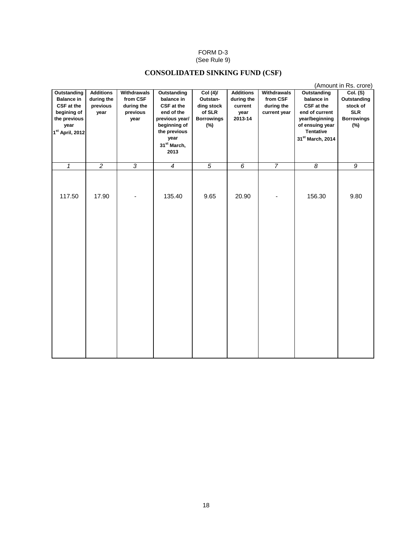#### FORM D-3 (See Rule 9)

### **CONSOLIDATED SINKING FUND (CSF)**

|                                                                                                                             |                                                    |                                                           |                                                                                                                                                    |                                                                             |                                                              |                                                              |                                                                                                                                        | (Amount in Rs. crore)                                                         |
|-----------------------------------------------------------------------------------------------------------------------------|----------------------------------------------------|-----------------------------------------------------------|----------------------------------------------------------------------------------------------------------------------------------------------------|-----------------------------------------------------------------------------|--------------------------------------------------------------|--------------------------------------------------------------|----------------------------------------------------------------------------------------------------------------------------------------|-------------------------------------------------------------------------------|
| <b>Outstanding</b><br><b>Balance in</b><br>CSF at the<br>begining of<br>the previous<br>year<br>1 <sup>st</sup> April, 2012 | <b>Additions</b><br>during the<br>previous<br>year | Withdrawals<br>from CSF<br>during the<br>previous<br>year | Outstanding<br>balance in<br>CSF at the<br>end of the<br>previous year/<br>beginning of<br>the previous<br>year<br>31 <sup>st</sup> March,<br>2013 | Col (4)/<br>Outstan-<br>ding stock<br>of SLR<br><b>Borrowings</b><br>$(\%)$ | <b>Additions</b><br>during the<br>current<br>year<br>2013-14 | <b>Withdrawals</b><br>from CSF<br>during the<br>current year | Outstanding<br>balance in<br>CSF at the<br>end of current<br>year/beginning<br>of ensuing year<br><b>Tentative</b><br>31st March, 2014 | Col. (S)<br>Outstanding<br>stock of<br><b>SLR</b><br><b>Borrowings</b><br>(%) |
| $\mathbf{1}$                                                                                                                | $\overline{2}$                                     | $\overline{3}$                                            | $\overline{4}$                                                                                                                                     | $\overline{5}$                                                              | $\overline{6}$                                               | $\overline{7}$                                               | $\overline{8}$                                                                                                                         | $\overline{g}$                                                                |
| 117.50                                                                                                                      | 17.90                                              |                                                           | 135.40                                                                                                                                             | 9.65                                                                        | 20.90                                                        |                                                              | 156.30                                                                                                                                 | 9.80                                                                          |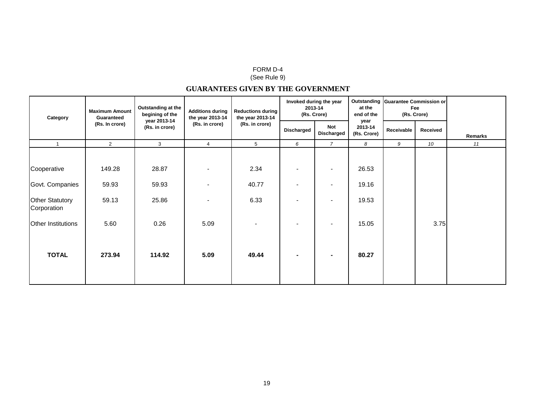#### FORM D-4

#### (See Rule 9)

### **GUARANTEES GIVEN BY THE GOVERNMENT**

| Category                              | <b>Maximum Amount</b><br>Guaranteed | Outstanding at the<br>begining of the<br>year 2013-14<br>(Rs. in crore) | <b>Additions during</b><br>the year 2013-14<br>(Rs. in crore) | <b>Reductions during</b><br>the year 2013-14<br>(Rs. in crore) | Invoked during the year<br>2013-14<br>(Rs. Crore) |                   | at the<br>end of the           | Outstanding Guarantee Commission or<br>Fee<br>(Rs. Crore) |          |         |
|---------------------------------------|-------------------------------------|-------------------------------------------------------------------------|---------------------------------------------------------------|----------------------------------------------------------------|---------------------------------------------------|-------------------|--------------------------------|-----------------------------------------------------------|----------|---------|
|                                       | (Rs. In crore)                      |                                                                         |                                                               |                                                                | <b>Discharged</b>                                 | Not<br>Discharged | year<br>2013-14<br>(Rs. Crore) | Receivable                                                | Received | Remarks |
| $\overline{1}$                        | $\overline{2}$                      | 3                                                                       | $\overline{4}$                                                | 5                                                              | 6                                                 | $\overline{7}$    | 8                              | 9                                                         | 10       | 11      |
| Cooperative                           | 149.28                              | 28.87                                                                   |                                                               | 2.34                                                           |                                                   | $\blacksquare$    | 26.53                          |                                                           |          |         |
| Govt. Companies                       | 59.93                               | 59.93                                                                   |                                                               | 40.77                                                          |                                                   | $\blacksquare$    | 19.16                          |                                                           |          |         |
| <b>Other Statutory</b><br>Corporation | 59.13                               | 25.86                                                                   |                                                               | 6.33                                                           |                                                   | $\blacksquare$    | 19.53                          |                                                           |          |         |
| Other Institutions                    | 5.60                                | 0.26                                                                    | 5.09                                                          | $\blacksquare$                                                 |                                                   | $\blacksquare$    | 15.05                          |                                                           | 3.75     |         |
| <b>TOTAL</b>                          | 273.94                              | 114.92                                                                  | 5.09                                                          | 49.44                                                          |                                                   | ۰                 | 80.27                          |                                                           |          |         |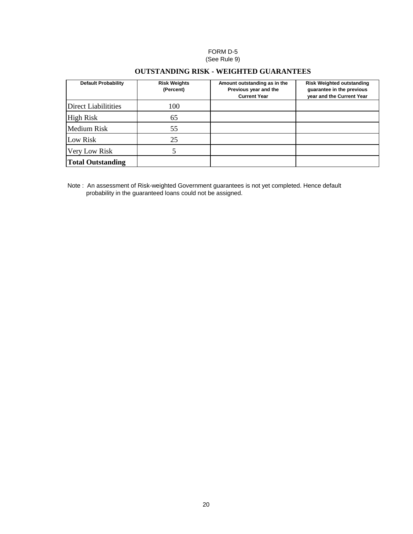#### FORM D-5 (See Rule 9)

#### **OUTSTANDING RISK - WEIGHTED GUARANTEES**

| <b>Default Probability</b>  | <b>Risk Weights</b><br>(Percent) | Amount outstanding as in the<br>Previous year and the<br><b>Current Year</b> | <b>Risk Weighted outstanding</b><br>quarantee in the previous<br>year and the Current Year |
|-----------------------------|----------------------------------|------------------------------------------------------------------------------|--------------------------------------------------------------------------------------------|
| <b>Direct Liabilitities</b> | 100                              |                                                                              |                                                                                            |
| <b>High Risk</b>            | 65                               |                                                                              |                                                                                            |
| Medium Risk                 | 55                               |                                                                              |                                                                                            |
| Low Risk                    | 25                               |                                                                              |                                                                                            |
| Very Low Risk               |                                  |                                                                              |                                                                                            |
| <b>Total Outstanding</b>    |                                  |                                                                              |                                                                                            |

Note : An assessment of Risk-weighted Government guarantees is not yet completed. Hence default probability in the guaranteed loans could not be assigned.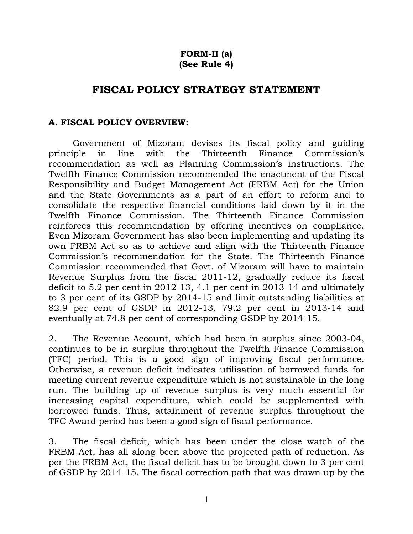## **FORM-II (a) (See Rule 4)**

# **FISCAL POLICY STRATEGY STATEMENT**

### **A. FISCAL POLICY OVERVIEW:**

Government of Mizoram devises its fiscal policy and guiding principle in line with the Thirteenth Finance Commission's recommendation as well as Planning Commission's instructions. The Twelfth Finance Commission recommended the enactment of the Fiscal Responsibility and Budget Management Act (FRBM Act) for the Union and the State Governments as a part of an effort to reform and to consolidate the respective financial conditions laid down by it in the Twelfth Finance Commission. The Thirteenth Finance Commission reinforces this recommendation by offering incentives on compliance. Even Mizoram Government has also been implementing and updating its own FRBM Act so as to achieve and align with the Thirteenth Finance Commission's recommendation for the State. The Thirteenth Finance Commission recommended that Govt. of Mizoram will have to maintain Revenue Surplus from the fiscal 2011-12, gradually reduce its fiscal deficit to 5.2 per cent in 2012-13, 4.1 per cent in 2013-14 and ultimately to 3 per cent of its GSDP by 2014-15 and limit outstanding liabilities at 82.9 per cent of GSDP in 2012-13, 79.2 per cent in 2013-14 and eventually at 74.8 per cent of corresponding GSDP by 2014-15.

2. The Revenue Account, which had been in surplus since 2003-04, continues to be in surplus throughout the Twelfth Finance Commission (TFC) period. This is a good sign of improving fiscal performance. Otherwise, a revenue deficit indicates utilisation of borrowed funds for meeting current revenue expenditure which is not sustainable in the long run. The building up of revenue surplus is very much essential for increasing capital expenditure, which could be supplemented with borrowed funds. Thus, attainment of revenue surplus throughout the TFC Award period has been a good sign of fiscal performance.

3. The fiscal deficit, which has been under the close watch of the FRBM Act, has all along been above the projected path of reduction. As per the FRBM Act, the fiscal deficit has to be brought down to 3 per cent of GSDP by 2014-15. The fiscal correction path that was drawn up by the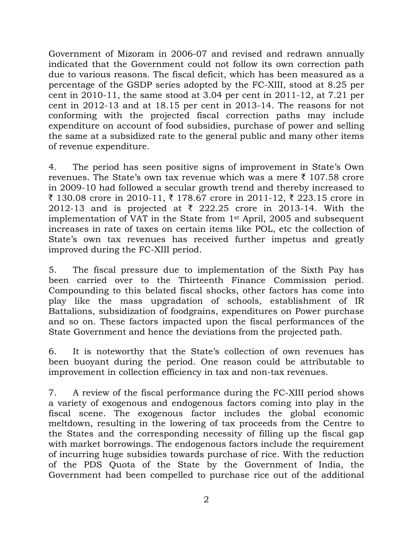Government of Mizoram in 2006-07 and revised and redrawn annually indicated that the Government could not follow its own correction path due to various reasons. The fiscal deficit, which has been measured as a percentage of the GSDP series adopted by the FC-XIII, stood at 8.25 per cent in 2010-11, the same stood at 3.04 per cent in 2011-12, at 7.21 per cent in 2012-13 and at 18.15 per cent in 2013-14. The reasons for not conforming with the projected fiscal correction paths may include expenditure on account of food subsidies, purchase of power and selling the same at a subsidized rate to the general public and many other items of revenue expenditure.

4. The period has seen positive signs of improvement in State's Own revenues. The State's own tax revenue which was a mere  $\bar{\tau}$  107.58 crore in 2009-10 had followed a secular growth trend and thereby increased to ₹ 130.08 crore in 2010-11, ₹ 178.67 crore in 2011-12, ₹ 223.15 crore in 2012-13 and is projected at  $\bar{\tau}$  222.25 crore in 2013-14. With the implementation of VAT in the State from 1st April, 2005 and subsequent increases in rate of taxes on certain items like POL, etc the collection of State's own tax revenues has received further impetus and greatly improved during the FC-XIII period.

5. The fiscal pressure due to implementation of the Sixth Pay has been carried over to the Thirteenth Finance Commission period. Compounding to this belated fiscal shocks, other factors has come into play like the mass upgradation of schools, establishment of IR Battalions, subsidization of foodgrains, expenditures on Power purchase and so on. These factors impacted upon the fiscal performances of the State Government and hence the deviations from the projected path.

6. It is noteworthy that the State's collection of own revenues has been buoyant during the period. One reason could be attributable to improvement in collection efficiency in tax and non-tax revenues.

7. A review of the fiscal performance during the FC-XIII period shows a variety of exogenous and endogenous factors coming into play in the fiscal scene. The exogenous factor includes the global economic meltdown, resulting in the lowering of tax proceeds from the Centre to the States and the corresponding necessity of filling up the fiscal gap with market borrowings. The endogenous factors include the requirement of incurring huge subsidies towards purchase of rice. With the reduction of the PDS Quota of the State by the Government of India, the Government had been compelled to purchase rice out of the additional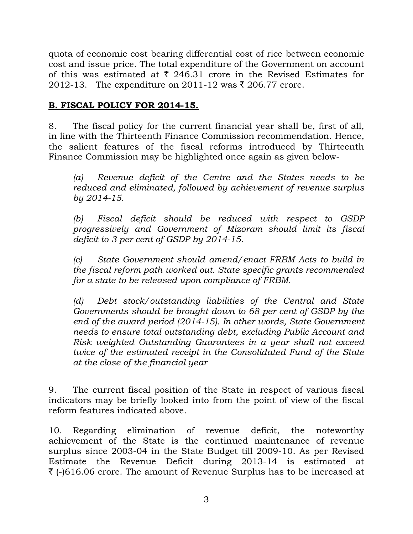quota of economic cost bearing differential cost of rice between economic cost and issue price. The total expenditure of the Government on account of this was estimated at  $\bar{\tau}$  246.31 crore in the Revised Estimates for 2012-13. The expenditure on 2011-12 was ₹ 206.77 crore.

# **B. FISCAL POLICY FOR 2014-15.**

8. The fiscal policy for the current financial year shall be, first of all, in line with the Thirteenth Finance Commission recommendation. Hence, the salient features of the fiscal reforms introduced by Thirteenth Finance Commission may be highlighted once again as given below-

 *(a) Revenue deficit of the Centre and the States needs to be reduced and eliminated, followed by achievement of revenue surplus by 2014-15.* 

 *(b) Fiscal deficit should be reduced with respect to GSDP progressively and Government of Mizoram should limit its fiscal deficit to 3 per cent of GSDP by 2014-15.* 

 *(c) State Government should amend/enact FRBM Acts to build in the fiscal reform path worked out. State specific grants recommended for a state to be released upon compliance of FRBM.* 

 *(d) Debt stock/outstanding liabilities of the Central and State Governments should be brought down to 68 per cent of GSDP by the end of the award period (2014-15). In other words, State Government needs to ensure total outstanding debt, excluding Public Account and Risk weighted Outstanding Guarantees in a year shall not exceed twice of the estimated receipt in the Consolidated Fund of the State at the close of the financial year* 

9. The current fiscal position of the State in respect of various fiscal indicators may be briefly looked into from the point of view of the fiscal reform features indicated above.

10. Regarding elimination of revenue deficit, the noteworthy achievement of the State is the continued maintenance of revenue surplus since 2003-04 in the State Budget till 2009-10. As per Revised Estimate the Revenue Deficit during 2013-14 is estimated at  $\bar{\tau}$  (-)616.06 crore. The amount of Revenue Surplus has to be increased at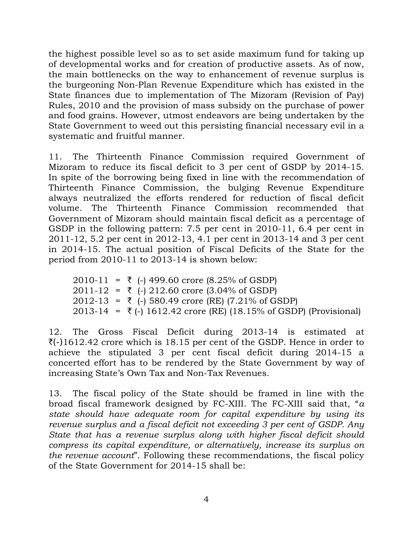the highest possible level so as to set aside maximum fund for taking up of developmental works and for creation of productive assets. As of now, the main bottlenecks on the way to enhancement of revenue surplus is the burgeoning Non-Plan Revenue Expenditure which has existed in the State finances due to implementation of The Mizoram (Revision of Pay) Rules, 2010 and the provision of mass subsidy on the purchase of power and food grains. However, utmost endeavors are being undertaken by the State Government to weed out this persisting financial necessary evil in a systematic and fruitful manner.

11. The Thirteenth Finance Commission required Government of Mizoram to reduce its fiscal deficit to 3 per cent of GSDP by 2014-15. In spite of the borrowing being fixed in line with the recommendation of Thirteenth Finance Commission, the bulging Revenue Expenditure always neutralized the efforts rendered for reduction of fiscal deficit volume. The Thirteenth Finance Commission recommended that Government of Mizoram should maintain fiscal deficit as a percentage of GSDP in the following pattern: 7.5 per cent in 2010-11, 6.4 per cent in 2011-12, 5.2 per cent in 2012-13, 4.1 per cent in 2013-14 and 3 per cent in 2014-15. The actual position of Fiscal Deficits of the State for the period from 2010-11 to 2013-14 is shown below:

|  | $2010-11 = \overline{\xi}$ (-) 499.60 crore (8.25% of GSDP)                    |
|--|--------------------------------------------------------------------------------|
|  | $2011-12 = \overline{5}$ (-) 212.60 crore (3.04% of GSDP)                      |
|  | $2012-13 = \overline{5}$ (-) 580.49 crore (RE) (7.21% of GSDP)                 |
|  | $2013-14 = \overline{5}$ (-) 1612.42 crore (RE) (18.15% of GSDP) (Provisional) |

12. The Gross Fiscal Deficit during 2013-14 is estimated at  $\mathcal{F}(-)1612.42$  crore which is 18.15 per cent of the GSDP. Hence in order to achieve the stipulated 3 per cent fiscal deficit during 2014-15 a concerted effort has to be rendered by the State Government by way of increasing State's Own Tax and Non-Tax Revenues.

13. The fiscal policy of the State should be framed in line with the broad fiscal framework designed by FC-XIII. The FC-XIII said that, "*a state should have adequate room for capital expenditure by using its revenue surplus and a fiscal deficit not exceeding 3 per cent of GSDP. Any State that has a revenue surplus along with higher fiscal deficit should compress its capital expenditure, or alternatively, increase its surplus on the revenue account*". Following these recommendations, the fiscal policy of the State Government for 2014-15 shall be: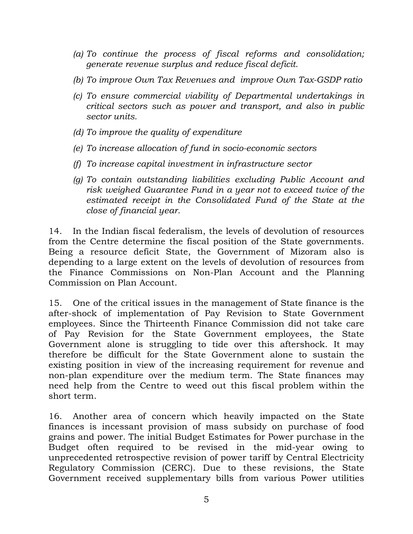- *(a) To continue the process of fiscal reforms and consolidation; generate revenue surplus and reduce fiscal deficit.*
- *(b) To improve Own Tax Revenues and improve Own Tax-GSDP ratio*
- *(c) To ensure commercial viability of Departmental undertakings in critical sectors such as power and transport, and also in public sector units.*
- *(d) To improve the quality of expenditure*
- *(e) To increase allocation of fund in socio-economic sectors*
- *(f) To increase capital investment in infrastructure sector*
- *(g) To contain outstanding liabilities excluding Public Account and risk weighed Guarantee Fund in a year not to exceed twice of the estimated receipt in the Consolidated Fund of the State at the close of financial year.*

14. In the Indian fiscal federalism, the levels of devolution of resources from the Centre determine the fiscal position of the State governments. Being a resource deficit State, the Government of Mizoram also is depending to a large extent on the levels of devolution of resources from the Finance Commissions on Non-Plan Account and the Planning Commission on Plan Account.

15. One of the critical issues in the management of State finance is the after-shock of implementation of Pay Revision to State Government employees. Since the Thirteenth Finance Commission did not take care of Pay Revision for the State Government employees, the State Government alone is struggling to tide over this aftershock. It may therefore be difficult for the State Government alone to sustain the existing position in view of the increasing requirement for revenue and non-plan expenditure over the medium term. The State finances may need help from the Centre to weed out this fiscal problem within the short term.

16. Another area of concern which heavily impacted on the State finances is incessant provision of mass subsidy on purchase of food grains and power. The initial Budget Estimates for Power purchase in the Budget often required to be revised in the mid-year owing to unprecedented retrospective revision of power tariff by Central Electricity Regulatory Commission (CERC). Due to these revisions, the State Government received supplementary bills from various Power utilities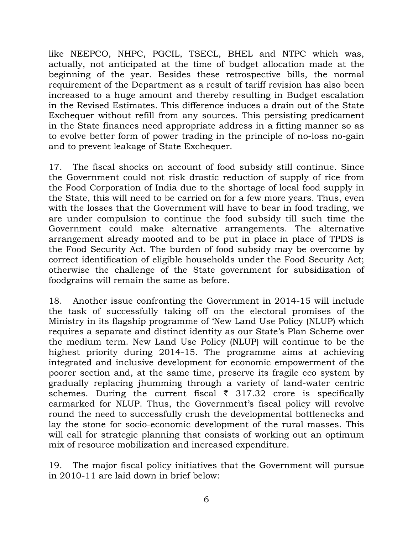like NEEPCO, NHPC, PGCIL, TSECL, BHEL and NTPC which was, actually, not anticipated at the time of budget allocation made at the beginning of the year. Besides these retrospective bills, the normal requirement of the Department as a result of tariff revision has also been increased to a huge amount and thereby resulting in Budget escalation in the Revised Estimates. This difference induces a drain out of the State Exchequer without refill from any sources. This persisting predicament in the State finances need appropriate address in a fitting manner so as to evolve better form of power trading in the principle of no-loss no-gain and to prevent leakage of State Exchequer.

17. The fiscal shocks on account of food subsidy still continue. Since the Government could not risk drastic reduction of supply of rice from the Food Corporation of India due to the shortage of local food supply in the State, this will need to be carried on for a few more years. Thus, even with the losses that the Government will have to bear in food trading, we are under compulsion to continue the food subsidy till such time the Government could make alternative arrangements. The alternative arrangement already mooted and to be put in place in place of TPDS is the Food Security Act. The burden of food subsidy may be overcome by correct identification of eligible households under the Food Security Act; otherwise the challenge of the State government for subsidization of foodgrains will remain the same as before.

18. Another issue confronting the Government in 2014-15 will include the task of successfully taking off on the electoral promises of the Ministry in its flagship programme of 'New Land Use Policy (NLUP) which requires a separate and distinct identity as our State's Plan Scheme over the medium term. New Land Use Policy (NLUP) will continue to be the highest priority during 2014-15. The programme aims at achieving integrated and inclusive development for economic empowerment of the poorer section and, at the same time, preserve its fragile eco system by gradually replacing jhumming through a variety of land-water centric schemes. During the current fiscal  $\bar{\tau}$  317.32 crore is specifically earmarked for NLUP. Thus, the Government's fiscal policy will revolve round the need to successfully crush the developmental bottlenecks and lay the stone for socio-economic development of the rural masses. This will call for strategic planning that consists of working out an optimum mix of resource mobilization and increased expenditure.

19. The major fiscal policy initiatives that the Government will pursue in 2010-11 are laid down in brief below: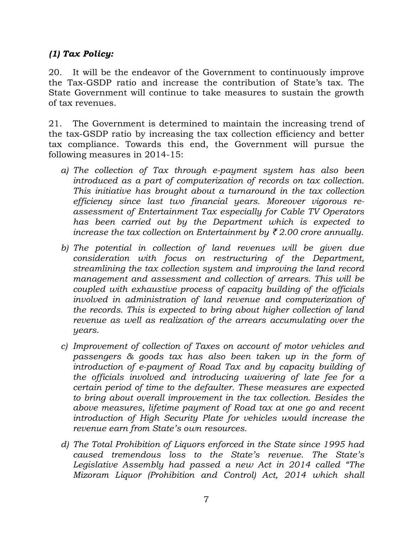# *(1) Tax Policy:*

20. It will be the endeavor of the Government to continuously improve the Tax-GSDP ratio and increase the contribution of State's tax. The State Government will continue to take measures to sustain the growth of tax revenues.

21. The Government is determined to maintain the increasing trend of the tax-GSDP ratio by increasing the tax collection efficiency and better tax compliance. Towards this end, the Government will pursue the following measures in 2014-15:

- *a) The collection of Tax through e-payment system has also been introduced as a part of computerization of records on tax collection. This initiative has brought about a turnaround in the tax collection efficiency since last two financial years. Moreover vigorous reassessment of Entertainment Tax especially for Cable TV Operators has been carried out by the Department which is expected to increase the tax collection on Entertainment by*  $\bar{\xi}$  *2.00 crore annually.*
- *b) The potential in collection of land revenues will be given due consideration with focus on restructuring of the Department, streamlining the tax collection system and improving the land record management and assessment and collection of arrears. This will be coupled with exhaustive process of capacity building of the officials involved in administration of land revenue and computerization of the records. This is expected to bring about higher collection of land revenue as well as realization of the arrears accumulating over the years.*
- *c) Improvement of collection of Taxes on account of motor vehicles and passengers & goods tax has also been taken up in the form of introduction of e-payment of Road Tax and by capacity building of the officials involved and introducing waivering of late fee for a certain period of time to the defaulter. These measures are expected to bring about overall improvement in the tax collection. Besides the above measures, lifetime payment of Road tax at one go and recent introduction of High Security Plate for vehicles would increase the revenue earn from State's own resources.*
- *d) The Total Prohibition of Liquors enforced in the State since 1995 had caused tremendous loss to the State's revenue. The State's Legislative Assembly had passed a new Act in 2014 called "The Mizoram Liquor (Prohibition and Control) Act, 2014 which shall*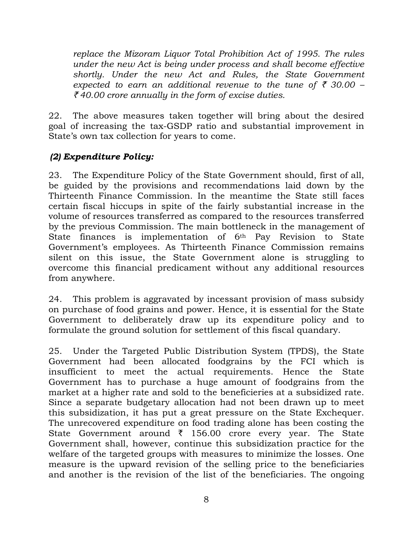*replace the Mizoram Liquor Total Prohibition Act of 1995. The rules under the new Act is being under process and shall become effective shortly. Under the new Act and Rules, the State Government expected to earn an additional revenue to the tune of*  $\bar{\tau}$  *30.00 –* ` *40.00 crore annually in the form of excise duties.* 

22. The above measures taken together will bring about the desired goal of increasing the tax-GSDP ratio and substantial improvement in State's own tax collection for years to come.

# *(2) Expenditure Policy:*

23. The Expenditure Policy of the State Government should, first of all, be guided by the provisions and recommendations laid down by the Thirteenth Finance Commission. In the meantime the State still faces certain fiscal hiccups in spite of the fairly substantial increase in the volume of resources transferred as compared to the resources transferred by the previous Commission. The main bottleneck in the management of State finances is implementation of 6th Pay Revision to State Government's employees. As Thirteenth Finance Commission remains silent on this issue, the State Government alone is struggling to overcome this financial predicament without any additional resources from anywhere.

24. This problem is aggravated by incessant provision of mass subsidy on purchase of food grains and power. Hence, it is essential for the State Government to deliberately draw up its expenditure policy and to formulate the ground solution for settlement of this fiscal quandary.

25. Under the Targeted Public Distribution System (TPDS), the State Government had been allocated foodgrains by the FCI which is insufficient to meet the actual requirements. Hence the State Government has to purchase a huge amount of foodgrains from the market at a higher rate and sold to the beneficieries at a subsidized rate. Since a separate budgetary allocation had not been drawn up to meet this subsidization, it has put a great pressure on the State Exchequer. The unrecovered expenditure on food trading alone has been costing the State Government around  $\bar{\tau}$  156.00 crore every year. The State Government shall, however, continue this subsidization practice for the welfare of the targeted groups with measures to minimize the losses. One measure is the upward revision of the selling price to the beneficiaries and another is the revision of the list of the beneficiaries. The ongoing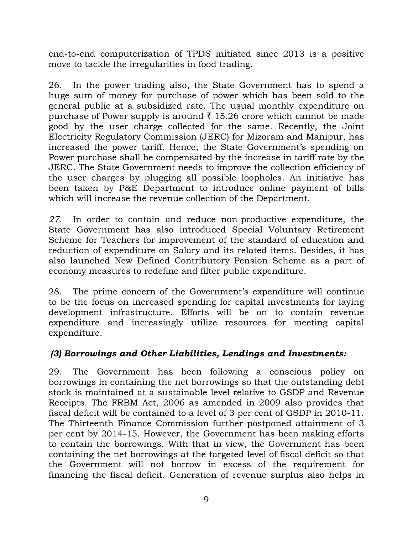end-to-end computerization of TPDS initiated since 2013 is a positive move to tackle the irregularities in food trading.

26. In the power trading also, the State Government has to spend a huge sum of money for purchase of power which has been sold to the general public at a subsidized rate. The usual monthly expenditure on purchase of Power supply is around  $\bar{\tau}$  15.26 crore which cannot be made good by the user charge collected for the same. Recently, the Joint Electricity Regulatory Commission (JERC) for Mizoram and Manipur, has increased the power tariff. Hence, the State Government's spending on Power purchase shall be compensated by the increase in tariff rate by the JERC. The State Government needs to improve the collection efficiency of the user charges by plugging all possible loopholes. An initiative has been taken by P&E Department to introduce online payment of bills which will increase the revenue collection of the Department.

*27.* In order to contain and reduce non-productive expenditure, the State Government has also introduced Special Voluntary Retirement Scheme for Teachers for improvement of the standard of education and reduction of expenditure on Salary and its related items. Besides, it has also launched New Defined Contributory Pension Scheme as a part of economy measures to redefine and filter public expenditure.

28. The prime concern of the Government's expenditure will continue to be the focus on increased spending for capital investments for laying development infrastructure. Efforts will be on to contain revenue expenditure and increasingly utilize resources for meeting capital expenditure.

# *(3) Borrowings and Other Liabilities, Lendings and Investments:*

29. The Government has been following a conscious policy on borrowings in containing the net borrowings so that the outstanding debt stock is maintained at a sustainable level relative to GSDP and Revenue Receipts. The FRBM Act, 2006 as amended in 2009 also provides that fiscal deficit will be contained to a level of 3 per cent of GSDP in 2010-11. The Thirteenth Finance Commission further postponed attainment of 3 per cent by 2014-15. However, the Government has been making efforts to contain the borrowings. With that in view, the Government has been containing the net borrowings at the targeted level of fiscal deficit so that the Government will not borrow in excess of the requirement for financing the fiscal deficit. Generation of revenue surplus also helps in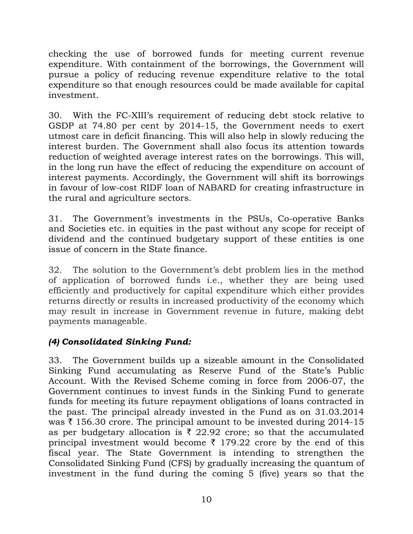checking the use of borrowed funds for meeting current revenue expenditure. With containment of the borrowings, the Government will pursue a policy of reducing revenue expenditure relative to the total expenditure so that enough resources could be made available for capital investment.

30. With the FC-XIII's requirement of reducing debt stock relative to GSDP at 74.80 per cent by 2014-15, the Government needs to exert utmost care in deficit financing. This will also help in slowly reducing the interest burden. The Government shall also focus its attention towards reduction of weighted average interest rates on the borrowings. This will, in the long run have the effect of reducing the expenditure on account of interest payments. Accordingly, the Government will shift its borrowings in favour of low-cost RIDF loan of NABARD for creating infrastructure in the rural and agriculture sectors.

31. The Government's investments in the PSUs, Co-operative Banks and Societies etc. in equities in the past without any scope for receipt of dividend and the continued budgetary support of these entities is one issue of concern in the State finance.

32. The solution to the Government's debt problem lies in the method of application of borrowed funds i.e., whether they are being used efficiently and productively for capital expenditure which either provides returns directly or results in increased productivity of the economy which may result in increase in Government revenue in future, making debt payments manageable.

# *(4) Consolidated Sinking Fund:*

33. The Government builds up a sizeable amount in the Consolidated Sinking Fund accumulating as Reserve Fund of the State's Public Account. With the Revised Scheme coming in force from 2006-07, the Government continues to invest funds in the Sinking Fund to generate funds for meeting its future repayment obligations of loans contracted in the past. The principal already invested in the Fund as on 31.03.2014 was  $\bar{\tau}$  156.30 crore. The principal amount to be invested during 2014-15 as per budgetary allocation is  $\bar{\tau}$  22.92 crore; so that the accumulated principal investment would become  $\bar{\tau}$  179.22 crore by the end of this fiscal year. The State Government is intending to strengthen the Consolidated Sinking Fund (CFS) by gradually increasing the quantum of investment in the fund during the coming 5 (five) years so that the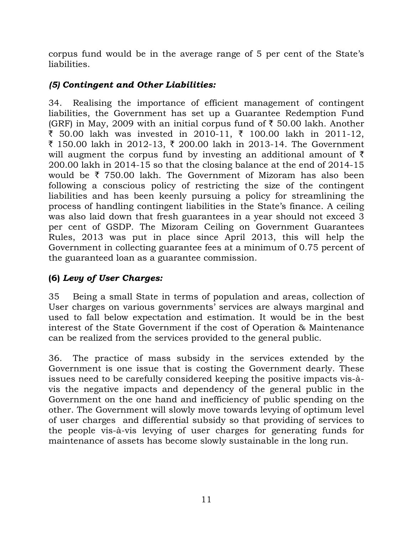corpus fund would be in the average range of 5 per cent of the State's liabilities.

# *(5) Contingent and Other Liabilities:*

34. Realising the importance of efficient management of contingent liabilities, the Government has set up a Guarantee Redemption Fund (GRF) in May, 2009 with an initial corpus fund of  $\bar{\tau}$  50.00 lakh. Another ₹ 50.00 lakh was invested in 2010-11, ₹ 100.00 lakh in 2011-12, ₹ 150.00 lakh in 2012-13, ₹ 200.00 lakh in 2013-14. The Government will augment the corpus fund by investing an additional amount of  $\bar{\tau}$ 200.00 lakh in 2014-15 so that the closing balance at the end of 2014-15 would be  $\bar{\tau}$  750.00 lakh. The Government of Mizoram has also been following a conscious policy of restricting the size of the contingent liabilities and has been keenly pursuing a policy for streamlining the process of handling contingent liabilities in the State's finance. A ceiling was also laid down that fresh guarantees in a year should not exceed 3 per cent of GSDP. The Mizoram Ceiling on Government Guarantees Rules, 2013 was put in place since April 2013, this will help the Government in collecting guarantee fees at a minimum of 0.75 percent of the guaranteed loan as a guarantee commission.

# **(6)** *Levy of User Charges:*

35 Being a small State in terms of population and areas, collection of User charges on various governments' services are always marginal and used to fall below expectation and estimation. It would be in the best interest of the State Government if the cost of Operation & Maintenance can be realized from the services provided to the general public.

36. The practice of mass subsidy in the services extended by the Government is one issue that is costing the Government dearly. These issues need to be carefully considered keeping the positive impacts vis-àvis the negative impacts and dependency of the general public in the Government on the one hand and inefficiency of public spending on the other. The Government will slowly move towards levying of optimum level of user charges and differential subsidy so that providing of services to the people vis-à-vis levying of user charges for generating funds for maintenance of assets has become slowly sustainable in the long run.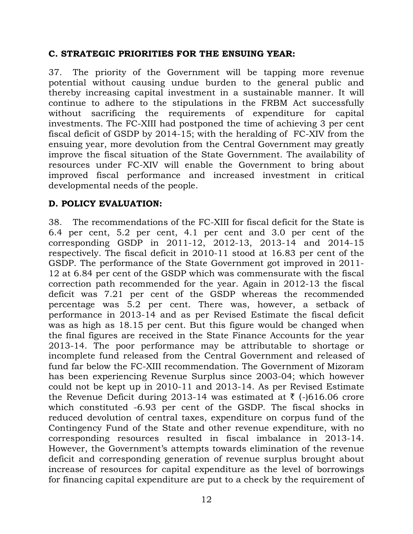### **C. STRATEGIC PRIORITIES FOR THE ENSUING YEAR:**

37. The priority of the Government will be tapping more revenue potential without causing undue burden to the general public and thereby increasing capital investment in a sustainable manner. It will continue to adhere to the stipulations in the FRBM Act successfully without sacrificing the requirements of expenditure for capital investments. The FC-XIII had postponed the time of achieving 3 per cent fiscal deficit of GSDP by 2014-15; with the heralding of FC-XIV from the ensuing year, more devolution from the Central Government may greatly improve the fiscal situation of the State Government. The availability of resources under FC-XIV will enable the Government to bring about improved fiscal performance and increased investment in critical developmental needs of the people.

## **D. POLICY EVALUATION:**

38. The recommendations of the FC-XIII for fiscal deficit for the State is 6.4 per cent, 5.2 per cent, 4.1 per cent and 3.0 per cent of the corresponding GSDP in 2011-12, 2012-13, 2013-14 and 2014-15 respectively. The fiscal deficit in 2010-11 stood at 16.83 per cent of the GSDP. The performance of the State Government got improved in 2011- 12 at 6.84 per cent of the GSDP which was commensurate with the fiscal correction path recommended for the year. Again in 2012-13 the fiscal deficit was 7.21 per cent of the GSDP whereas the recommended percentage was 5.2 per cent. There was, however, a setback of performance in 2013-14 and as per Revised Estimate the fiscal deficit was as high as 18.15 per cent. But this figure would be changed when the final figures are received in the State Finance Accounts for the year 2013-14. The poor performance may be attributable to shortage or incomplete fund released from the Central Government and released of fund far below the FC-XIII recommendation. The Government of Mizoram has been experiencing Revenue Surplus since 2003-04; which however could not be kept up in 2010-11 and 2013-14. As per Revised Estimate the Revenue Deficit during 2013-14 was estimated at  $\bar{\tau}$  (-)616.06 crore which constituted -6.93 per cent of the GSDP. The fiscal shocks in reduced devolution of central taxes, expenditure on corpus fund of the Contingency Fund of the State and other revenue expenditure, with no corresponding resources resulted in fiscal imbalance in 2013-14. However, the Government's attempts towards elimination of the revenue deficit and corresponding generation of revenue surplus brought about increase of resources for capital expenditure as the level of borrowings for financing capital expenditure are put to a check by the requirement of